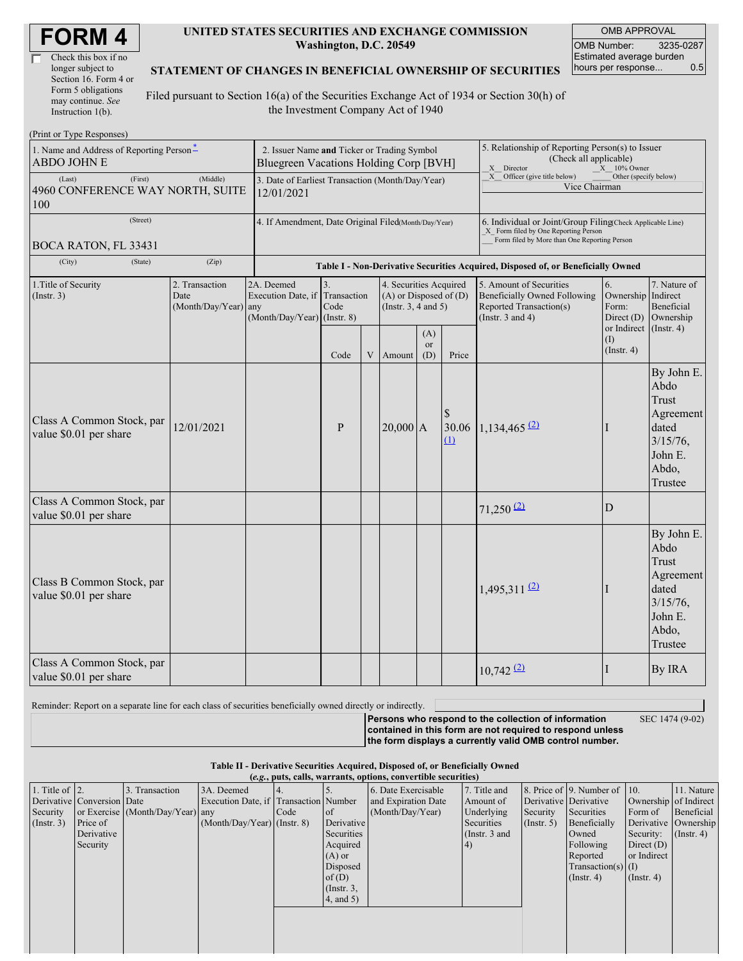| <b>FORM4</b> |
|--------------|
|--------------|

| Check this box if no  |
|-----------------------|
| longer subject to     |
| Section 16. Form 4 or |
| Form 5 obligations    |
| may continue. See     |
| Instruction 1(b).     |

(Print or Type Responses)

### **UNITED STATES SECURITIES AND EXCHANGE COMMISSION Washington, D.C. 20549**

OMB APPROVAL OMB Number: 3235-0287 Estimated average burden hours per response... 0.5

### **STATEMENT OF CHANGES IN BENEFICIAL OWNERSHIP OF SECURITIES**

Filed pursuant to Section 16(a) of the Securities Exchange Act of 1934 or Section 30(h) of the Investment Company Act of 1940

| $1 \text{ m}$ or $1 \text{ y}$ pc responses<br>1. Name and Address of Reporting Person-<br><b>ABDO JOHN E</b> | 2. Issuer Name and Ticker or Trading Symbol<br>Bluegreen Vacations Holding Corp [BVH] |                                                                                  |                           |   |                                                                                  | 5. Relationship of Reporting Person(s) to Issuer<br>(Check all applicable)<br>X Director<br>X 10% Owner                                            |                                           |                                                                                                                    |                                                   |                                                                                                 |
|---------------------------------------------------------------------------------------------------------------|---------------------------------------------------------------------------------------|----------------------------------------------------------------------------------|---------------------------|---|----------------------------------------------------------------------------------|----------------------------------------------------------------------------------------------------------------------------------------------------|-------------------------------------------|--------------------------------------------------------------------------------------------------------------------|---------------------------------------------------|-------------------------------------------------------------------------------------------------|
| (Last)<br>(First)<br>4960 CONFERENCE WAY NORTH, SUITE<br>100                                                  | 3. Date of Earliest Transaction (Month/Day/Year)<br>12/01/2021                        |                                                                                  |                           |   |                                                                                  | X Officer (give title below)<br>Other (specify below)<br>Vice Chairman                                                                             |                                           |                                                                                                                    |                                                   |                                                                                                 |
| (Street)<br>BOCA RATON, FL 33431                                                                              | 4. If Amendment, Date Original Filed(Month/Day/Year)                                  |                                                                                  |                           |   |                                                                                  | 6. Individual or Joint/Group Filing Check Applicable Line)<br>X Form filed by One Reporting Person<br>Form filed by More than One Reporting Person |                                           |                                                                                                                    |                                                   |                                                                                                 |
| (City)<br>(State)                                                                                             |                                                                                       | Table I - Non-Derivative Securities Acquired, Disposed of, or Beneficially Owned |                           |   |                                                                                  |                                                                                                                                                    |                                           |                                                                                                                    |                                                   |                                                                                                 |
| 1. Title of Security<br>2. Transaction<br>$($ Instr. 3 $)$<br>Date<br>(Month/Day/Year) any                    |                                                                                       | 2A. Deemed<br>Execution Date, if<br>(Month/Day/Year) (Instr. 8)                  | 3.<br>Transaction<br>Code |   | 4. Securities Acquired<br>$(A)$ or Disposed of $(D)$<br>(Instr. $3, 4$ and $5$ ) |                                                                                                                                                    |                                           | 5. Amount of Securities<br><b>Beneficially Owned Following</b><br>Reported Transaction(s)<br>(Instr. $3$ and $4$ ) | 6.<br>Ownership<br>Form:<br>Direct $(D)$          | 7. Nature of<br>Indirect<br>Beneficial<br>Ownership                                             |
|                                                                                                               |                                                                                       |                                                                                  | Code                      | V | Amount                                                                           | (A)<br><sub>or</sub><br>(D)                                                                                                                        | Price                                     |                                                                                                                    | or Indirect (Instr. 4)<br>(I)<br>$($ Instr. 4 $)$ |                                                                                                 |
| Class A Common Stock, par<br>value \$0.01 per share                                                           | 12/01/2021                                                                            |                                                                                  | $\mathbf{P}$              |   | $20,000$ A                                                                       |                                                                                                                                                    | \$<br>30.06<br>$\hbox{\it \underline{u}}$ | $1,134,465$ <sup>(2)</sup>                                                                                         |                                                   | By John E.<br>Abdo<br>Trust<br>Agreement<br>dated<br>$3/15/76$ ,<br>John E.<br>Abdo,<br>Trustee |
| Class A Common Stock, par<br>value \$0.01 per share                                                           |                                                                                       |                                                                                  |                           |   |                                                                                  |                                                                                                                                                    |                                           | $71,250$ <sup>(2)</sup>                                                                                            | D                                                 |                                                                                                 |
| Class B Common Stock, par<br>value \$0.01 per share                                                           |                                                                                       |                                                                                  |                           |   |                                                                                  |                                                                                                                                                    |                                           | $1,495,311$ <sup>(2)</sup>                                                                                         |                                                   | By John E.<br>Abdo<br>Trust<br>Agreement<br>dated<br>$3/15/76$ ,<br>John E.<br>Abdo,<br>Trustee |
| Class A Common Stock, par<br>value \$0.01 per share                                                           |                                                                                       |                                                                                  |                           |   |                                                                                  |                                                                                                                                                    | $10,742$ $(2)$                            | I                                                                                                                  | By IRA                                            |                                                                                                 |

Reminder: Report on a separate line for each class of securities beneficially owned directly or indirectly.

SEC 1474 (9-02)

**Persons who respond to the collection of information contained in this form are not required to respond unless the form displays a currently valid OMB control number.**

### **Table II - Derivative Securities Acquired, Disposed of, or Beneficially Owned**

| $\mu$ if better becaming the angularity bisposed of $\mu$ beneficially $\sigma$ |  |
|---------------------------------------------------------------------------------|--|
| (e.g., puts, calls, warrants, options, convertible securities)                  |  |

|                        | $(0.5)$ , puts, cans, warrants, options, convertible securities |                                  |                                       |      |                 |                     |                 |                       |                              |                       |                  |
|------------------------|-----------------------------------------------------------------|----------------------------------|---------------------------------------|------|-----------------|---------------------|-----------------|-----------------------|------------------------------|-----------------------|------------------|
| 1. Title of $\vert$ 2. |                                                                 | . Transaction                    | 3A. Deemed                            |      |                 | 6. Date Exercisable | 7. Title and    |                       | 8. Price of 9. Number of 10. |                       | 11. Nature       |
|                        | Derivative Conversion Date                                      |                                  | Execution Date, if Transaction Number |      |                 | and Expiration Date | Amount of       | Derivative Derivative |                              | Ownership of Indirect |                  |
| Security               |                                                                 | or Exercise (Month/Day/Year) any |                                       | Code | of              | (Month/Day/Year)    | Underlying      | Security              | Securities                   | Form of               | Beneficial       |
| (Insert. 3)            | Price of                                                        |                                  | $(Month/Day/Year)$ (Instr. 8)         |      | Derivative      |                     | Securities      | $($ Instr. 5)         | Beneficially                 | Derivative Ownership  |                  |
|                        | Derivative                                                      |                                  |                                       |      | Securities      |                     | (Instr. $3$ and |                       | Owned                        | Security:             | $($ Instr. 4 $)$ |
|                        | Security                                                        |                                  |                                       |      | Acquired        |                     | (4)             |                       | Following                    | Direct $(D)$          |                  |
|                        |                                                                 |                                  |                                       |      | $(A)$ or        |                     |                 |                       | Reported                     | or Indirect           |                  |
|                        |                                                                 |                                  |                                       |      | Disposed        |                     |                 |                       | $Transaction(s)$ (I)         |                       |                  |
|                        |                                                                 |                                  |                                       |      | of $(D)$        |                     |                 |                       | $($ Instr. 4 $)$             | $($ Instr. 4 $)$      |                  |
|                        |                                                                 |                                  |                                       |      | $($ Instr. $3,$ |                     |                 |                       |                              |                       |                  |
|                        |                                                                 |                                  |                                       |      | 4, and 5)       |                     |                 |                       |                              |                       |                  |
|                        |                                                                 |                                  |                                       |      |                 |                     |                 |                       |                              |                       |                  |
|                        |                                                                 |                                  |                                       |      |                 |                     |                 |                       |                              |                       |                  |
|                        |                                                                 |                                  |                                       |      |                 |                     |                 |                       |                              |                       |                  |
|                        |                                                                 |                                  |                                       |      |                 |                     |                 |                       |                              |                       |                  |